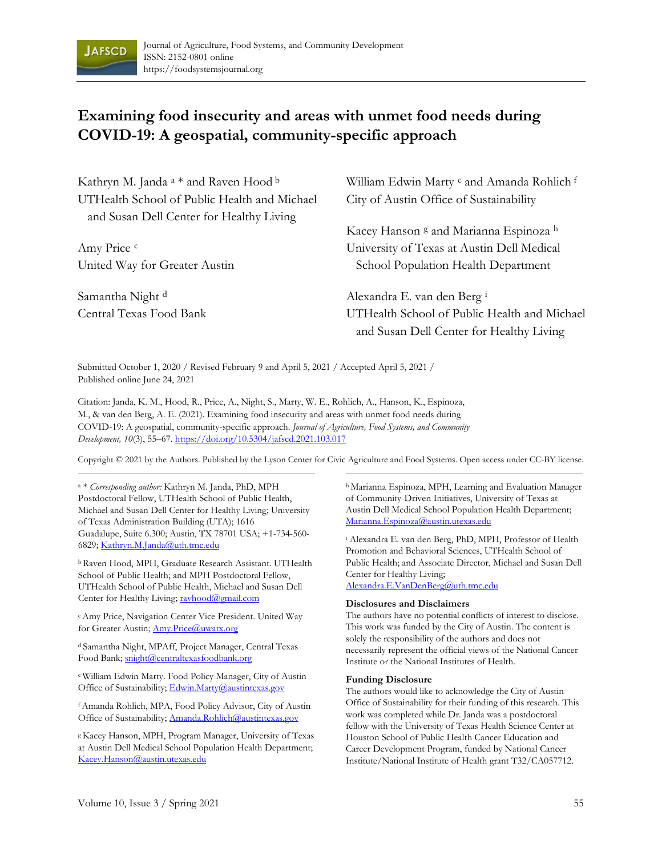

## **Examining food insecurity and areas with unmet food needs during COVID-19: A geospatial, community-specific approach**

| Kathryn M. Janda <sup>a</sup> * and Raven Hood <sup>b</sup> | William Edwin Marty <sup>e</sup> and Amanda Rohlich f |  |  |
|-------------------------------------------------------------|-------------------------------------------------------|--|--|
| UTHealth School of Public Health and Michael                | City of Austin Office of Sustainability               |  |  |
| and Susan Dell Center for Healthy Living                    |                                                       |  |  |
|                                                             | Kacey Hanson 8 and Marianna Espinoza h                |  |  |
| Amy Price c                                                 | University of Texas at Austin Dell Medical            |  |  |
| United Way for Greater Austin                               | School Population Health Department                   |  |  |
| Samantha Night d                                            | Alexandra E. van den Berg <sup>i</sup>                |  |  |
| Central Texas Food Bank                                     | UTHealth School of Public Health and Michael          |  |  |
|                                                             | and Susan Dell Center for Healthy Living              |  |  |

Submitted October 1, 2020 / Revised February 9 and April 5, 2021 / Accepted April 5, 2021 / Published online June 24, 2021

Citation: Janda, K. M., Hood, R., Price, A., Night, S., Marty, W. E., Rohlich, A., Hanson, K., Espinoza, M., & van den Berg, A. E. (2021). Examining food insecurity and areas with unmet food needs during COVID-19: A geospatial, community-specific approach. *Journal of Agriculture, Food Systems, and Community Development, 10*(3), 55–67. https://doi.org/10.5304/jafscd.2021.103.017

Copyright © 2021 by the Authors. Published by the Lyson Center for Civic Agriculture and Food Systems. Open access under CC-BY license.

a \* *Corresponding author:* Kathryn M. Janda, PhD, MPH Postdoctoral Fellow, UTHealth School of Public Health, Michael and Susan Dell Center for Healthy Living; University of Texas Administration Building (UTA); 1616 Guadalupe, Suite 6.300; Austin, TX 78701 USA; +1-734-560- 6829; Kathryn.M.Janda@uth.tmc.edu

b Raven Hood, MPH, Graduate Research Assistant. UTHealth School of Public Health; and MPH Postdoctoral Fellow, UTHealth School of Public Health, Michael and Susan Dell Center for Healthy Living; ravhood@gmail.com

c Amy Price, Navigation Center Vice President. United Way for Greater Austin; Amy.Price@uwatx.org

d Samantha Night, MPAff, Project Manager, Central Texas Food Bank; snight@centraltexasfoodbank.org

e William Edwin Marty. Food Policy Manager, City of Austin Office of Sustainability; Edwin.Marty@austintexas.gov

f Amanda Rohlich, MPA, Food Policy Advisor, City of Austin Office of Sustainability; Amanda.Rohlich@austintexas.gov

g Kacey Hanson, MPH, Program Manager, University of Texas at Austin Dell Medical School Population Health Department; Kacey.Hanson@austin.utexas.edu

h Marianna Espinoza, MPH, Learning and Evaluation Manager of Community-Driven Initiatives, University of Texas at Austin Dell Medical School Population Health Department; Marianna.Espinoza@austin.utexas.edu

i Alexandra E. van den Berg, PhD, MPH, Professor of Health Promotion and Behavioral Sciences, UTHealth School of Public Health; and Associate Director, Michael and Susan Dell Center for Healthy Living; Alexandra.E.VanDenBerg@uth.tmc.edu

**Disclosures and Disclaimers** 

The authors have no potential conflicts of interest to disclose. This work was funded by the City of Austin. The content is solely the responsibility of the authors and does not necessarily represent the official views of the National Cancer Institute or the National Institutes of Health.

#### **Funding Disclosure**

The authors would like to acknowledge the City of Austin Office of Sustainability for their funding of this research. This work was completed while Dr. Janda was a postdoctoral fellow with the University of Texas Health Science Center at Houston School of Public Health Cancer Education and Career Development Program, funded by National Cancer Institute/National Institute of Health grant T32/CA057712.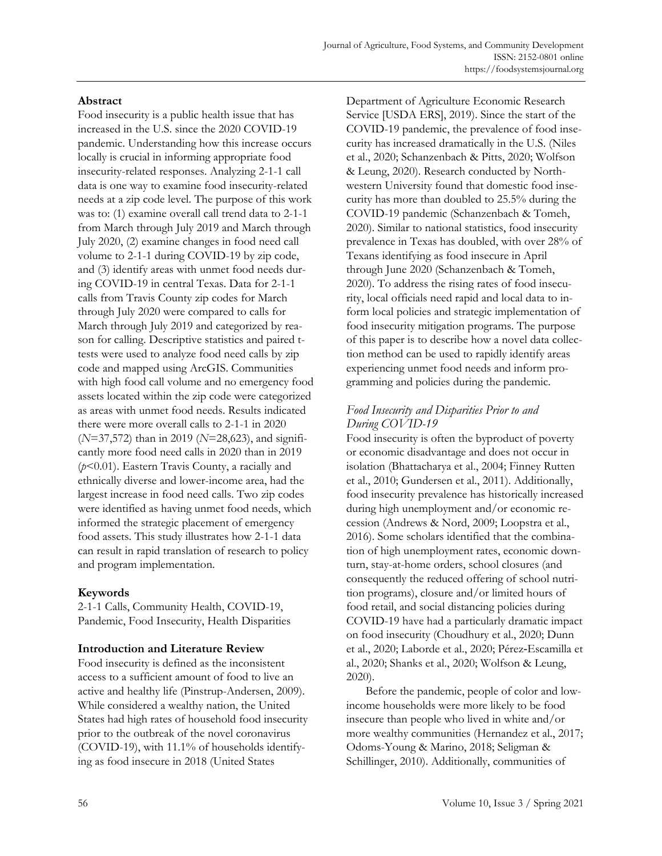## **Abstract**

Food insecurity is a public health issue that has increased in the U.S. since the 2020 COVID-19 pandemic. Understanding how this increase occurs locally is crucial in informing appropriate food insecurity-related responses. Analyzing 2-1-1 call data is one way to examine food insecurity-related needs at a zip code level. The purpose of this work was to: (1) examine overall call trend data to 2-1-1 from March through July 2019 and March through July 2020, (2) examine changes in food need call volume to 2-1-1 during COVID-19 by zip code, and (3) identify areas with unmet food needs during COVID-19 in central Texas. Data for 2-1-1 calls from Travis County zip codes for March through July 2020 were compared to calls for March through July 2019 and categorized by reason for calling. Descriptive statistics and paired ttests were used to analyze food need calls by zip code and mapped using ArcGIS. Communities with high food call volume and no emergency food assets located within the zip code were categorized as areas with unmet food needs. Results indicated there were more overall calls to 2-1-1 in 2020 (*N*=37,572) than in 2019 (*N*=28,623), and significantly more food need calls in 2020 than in 2019 (*p*<0.01). Eastern Travis County, a racially and ethnically diverse and lower-income area, had the largest increase in food need calls. Two zip codes were identified as having unmet food needs, which informed the strategic placement of emergency food assets. This study illustrates how 2-1-1 data can result in rapid translation of research to policy and program implementation.

## **Keywords**

2-1-1 Calls, Community Health, COVID-19, Pandemic, Food Insecurity, Health Disparities

## **Introduction and Literature Review**

Food insecurity is defined as the inconsistent access to a sufficient amount of food to live an active and healthy life (Pinstrup-Andersen, 2009). While considered a wealthy nation, the United States had high rates of household food insecurity prior to the outbreak of the novel coronavirus (COVID-19), with 11.1% of households identifying as food insecure in 2018 (United States

Department of Agriculture Economic Research Service [USDA ERS], 2019). Since the start of the COVID-19 pandemic, the prevalence of food insecurity has increased dramatically in the U.S. (Niles et al., 2020; Schanzenbach & Pitts, 2020; Wolfson & Leung, 2020). Research conducted by Northwestern University found that domestic food insecurity has more than doubled to 25.5% during the COVID-19 pandemic (Schanzenbach & Tomeh, 2020). Similar to national statistics, food insecurity prevalence in Texas has doubled, with over 28% of Texans identifying as food insecure in April through June 2020 (Schanzenbach & Tomeh, 2020). To address the rising rates of food insecurity, local officials need rapid and local data to inform local policies and strategic implementation of food insecurity mitigation programs. The purpose of this paper is to describe how a novel data collection method can be used to rapidly identify areas experiencing unmet food needs and inform programming and policies during the pandemic.

## *Food Insecurity and Disparities Prior to and During COVID-19*

Food insecurity is often the byproduct of poverty or economic disadvantage and does not occur in isolation (Bhattacharya et al., 2004; Finney Rutten et al., 2010; Gundersen et al., 2011). Additionally, food insecurity prevalence has historically increased during high unemployment and/or economic recession (Andrews & Nord, 2009; Loopstra et al., 2016). Some scholars identified that the combination of high unemployment rates, economic downturn, stay-at-home orders, school closures (and consequently the reduced offering of school nutrition programs), closure and/or limited hours of food retail, and social distancing policies during COVID-19 have had a particularly dramatic impact on food insecurity (Choudhury et al., 2020; Dunn et al., 2020; Laborde et al., 2020; Pérez‐Escamilla et al., 2020; Shanks et al., 2020; Wolfson & Leung, 2020).

 Before the pandemic, people of color and lowincome households were more likely to be food insecure than people who lived in white and/or more wealthy communities (Hernandez et al., 2017; Odoms-Young & Marino, 2018; Seligman & Schillinger, 2010). Additionally, communities of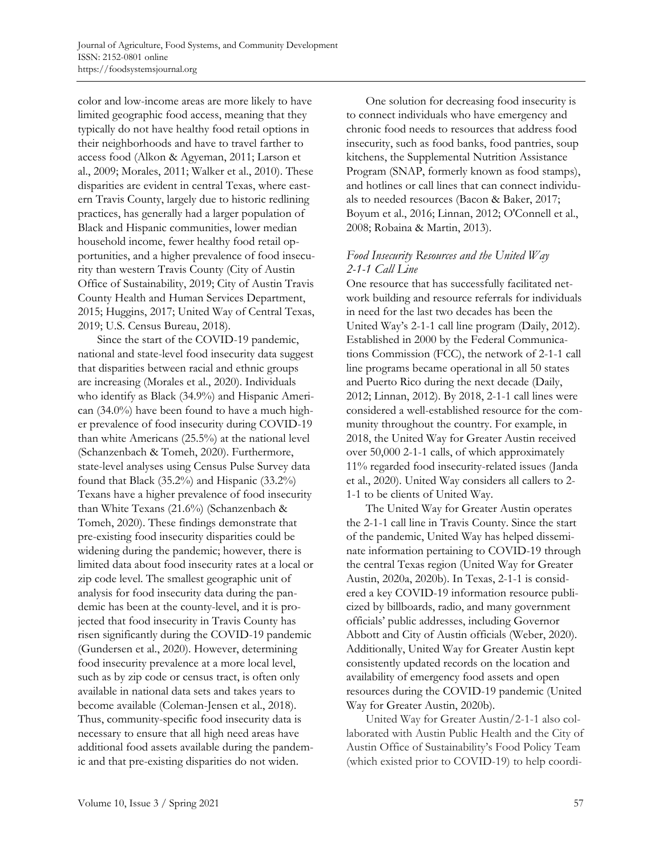color and low-income areas are more likely to have limited geographic food access, meaning that they typically do not have healthy food retail options in their neighborhoods and have to travel farther to access food (Alkon & Agyeman, 2011; Larson et al., 2009; Morales, 2011; Walker et al., 2010). These disparities are evident in central Texas, where eastern Travis County, largely due to historic redlining practices, has generally had a larger population of Black and Hispanic communities, lower median household income, fewer healthy food retail opportunities, and a higher prevalence of food insecurity than western Travis County (City of Austin Office of Sustainability, 2019; City of Austin Travis County Health and Human Services Department, 2015; Huggins, 2017; United Way of Central Texas, 2019; U.S. Census Bureau, 2018).

 Since the start of the COVID-19 pandemic, national and state-level food insecurity data suggest that disparities between racial and ethnic groups are increasing (Morales et al., 2020). Individuals who identify as Black (34.9%) and Hispanic American (34.0%) have been found to have a much higher prevalence of food insecurity during COVID-19 than white Americans (25.5%) at the national level (Schanzenbach & Tomeh, 2020). Furthermore, state-level analyses using Census Pulse Survey data found that Black (35.2%) and Hispanic (33.2%) Texans have a higher prevalence of food insecurity than White Texans (21.6%) (Schanzenbach & Tomeh, 2020). These findings demonstrate that pre-existing food insecurity disparities could be widening during the pandemic; however, there is limited data about food insecurity rates at a local or zip code level. The smallest geographic unit of analysis for food insecurity data during the pandemic has been at the county-level, and it is projected that food insecurity in Travis County has risen significantly during the COVID-19 pandemic (Gundersen et al., 2020). However, determining food insecurity prevalence at a more local level, such as by zip code or census tract, is often only available in national data sets and takes years to become available (Coleman-Jensen et al., 2018). Thus, community-specific food insecurity data is necessary to ensure that all high need areas have additional food assets available during the pandemic and that pre-existing disparities do not widen.

 One solution for decreasing food insecurity is to connect individuals who have emergency and chronic food needs to resources that address food insecurity, such as food banks, food pantries, soup kitchens, the Supplemental Nutrition Assistance Program (SNAP, formerly known as food stamps), and hotlines or call lines that can connect individuals to needed resources (Bacon & Baker, 2017; Boyum et al., 2016; Linnan, 2012; O'Connell et al., 2008; Robaina & Martin, 2013).

## *Food Insecurity Resources and the United Way 2-1-1 Call Line*

One resource that has successfully facilitated network building and resource referrals for individuals in need for the last two decades has been the United Way's 2-1-1 call line program (Daily, 2012). Established in 2000 by the Federal Communications Commission (FCC), the network of 2-1-1 call line programs became operational in all 50 states and Puerto Rico during the next decade (Daily, 2012; Linnan, 2012). By 2018, 2-1-1 call lines were considered a well-established resource for the community throughout the country. For example, in 2018, the United Way for Greater Austin received over 50,000 2-1-1 calls, of which approximately 11% regarded food insecurity-related issues (Janda et al., 2020). United Way considers all callers to 2- 1-1 to be clients of United Way.

 The United Way for Greater Austin operates the 2-1-1 call line in Travis County. Since the start of the pandemic, United Way has helped disseminate information pertaining to COVID-19 through the central Texas region (United Way for Greater Austin, 2020a, 2020b). In Texas, 2-1-1 is considered a key COVID-19 information resource publicized by billboards, radio, and many government officials' public addresses, including Governor Abbott and City of Austin officials (Weber, 2020). Additionally, United Way for Greater Austin kept consistently updated records on the location and availability of emergency food assets and open resources during the COVID-19 pandemic (United Way for Greater Austin, 2020b).

 United Way for Greater Austin/2-1-1 also collaborated with Austin Public Health and the City of Austin Office of Sustainability's Food Policy Team (which existed prior to COVID-19) to help coordi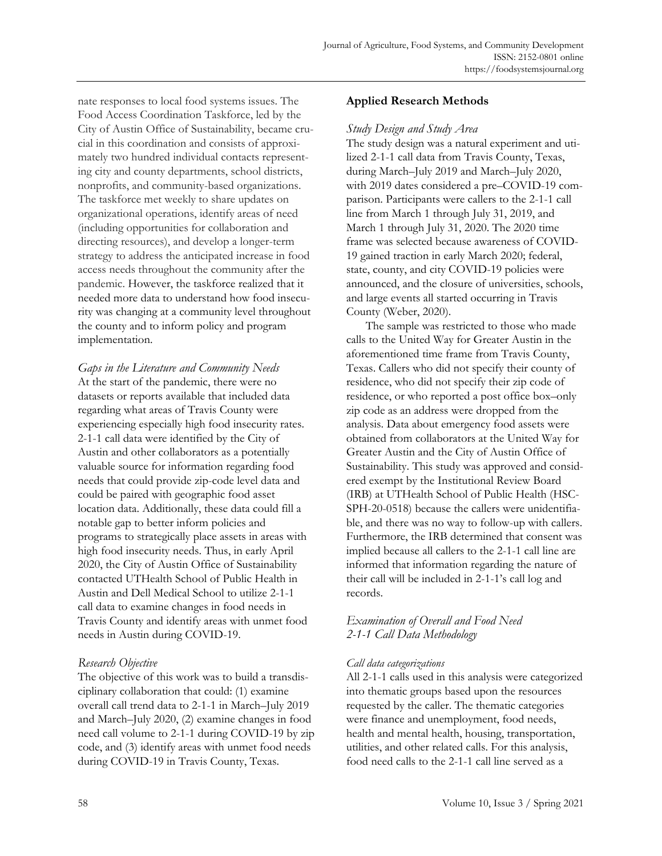nate responses to local food systems issues. The Food Access Coordination Taskforce, led by the City of Austin Office of Sustainability, became crucial in this coordination and consists of approximately two hundred individual contacts representing city and county departments, school districts, nonprofits, and community-based organizations. The taskforce met weekly to share updates on organizational operations, identify areas of need (including opportunities for collaboration and directing resources), and develop a longer-term strategy to address the anticipated increase in food access needs throughout the community after the pandemic. However, the taskforce realized that it needed more data to understand how food insecurity was changing at a community level throughout the county and to inform policy and program implementation.

*Gaps in the Literature and Community Needs*  At the start of the pandemic, there were no datasets or reports available that included data regarding what areas of Travis County were experiencing especially high food insecurity rates. 2-1-1 call data were identified by the City of Austin and other collaborators as a potentially valuable source for information regarding food needs that could provide zip-code level data and could be paired with geographic food asset location data. Additionally, these data could fill a notable gap to better inform policies and programs to strategically place assets in areas with high food insecurity needs. Thus, in early April 2020, the City of Austin Office of Sustainability contacted UTHealth School of Public Health in Austin and Dell Medical School to utilize 2-1-1 call data to examine changes in food needs in Travis County and identify areas with unmet food needs in Austin during COVID-19.

## *Research Objective*

The objective of this work was to build a transdisciplinary collaboration that could: (1) examine overall call trend data to 2-1-1 in March–July 2019 and March–July 2020, (2) examine changes in food need call volume to 2-1-1 during COVID-19 by zip code, and (3) identify areas with unmet food needs during COVID-19 in Travis County, Texas.

## **Applied Research Methods**

#### *Study Design and Study Area*

The study design was a natural experiment and utilized 2-1-1 call data from Travis County, Texas, during March–July 2019 and March–July 2020, with 2019 dates considered a pre–COVID-19 comparison. Participants were callers to the 2-1-1 call line from March 1 through July 31, 2019, and March 1 through July 31, 2020. The 2020 time frame was selected because awareness of COVID-19 gained traction in early March 2020; federal, state, county, and city COVID-19 policies were announced, and the closure of universities, schools, and large events all started occurring in Travis County (Weber, 2020).

 The sample was restricted to those who made calls to the United Way for Greater Austin in the aforementioned time frame from Travis County, Texas. Callers who did not specify their county of residence, who did not specify their zip code of residence, or who reported a post office box–only zip code as an address were dropped from the analysis. Data about emergency food assets were obtained from collaborators at the United Way for Greater Austin and the City of Austin Office of Sustainability. This study was approved and considered exempt by the Institutional Review Board (IRB) at UTHealth School of Public Health (HSC-SPH-20-0518) because the callers were unidentifiable, and there was no way to follow-up with callers. Furthermore, the IRB determined that consent was implied because all callers to the 2-1-1 call line are informed that information regarding the nature of their call will be included in 2-1-1's call log and records.

## *Examination of Overall and Food Need 2-1-1 Call Data Methodology*

### *Call data categorizations*

All 2-1-1 calls used in this analysis were categorized into thematic groups based upon the resources requested by the caller. The thematic categories were finance and unemployment, food needs, health and mental health, housing, transportation, utilities, and other related calls. For this analysis, food need calls to the 2-1-1 call line served as a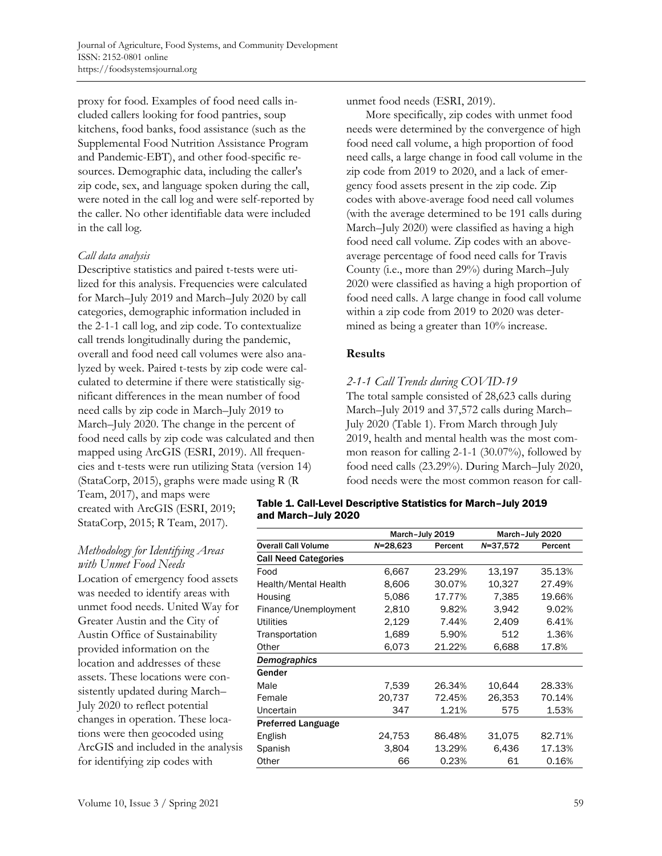proxy for food. Examples of food need calls included callers looking for food pantries, soup kitchens, food banks, food assistance (such as the Supplemental Food Nutrition Assistance Program and Pandemic-EBT), and other food-specific resources. Demographic data, including the caller's zip code, sex, and language spoken during the call, were noted in the call log and were self-reported by the caller. No other identifiable data were included in the call log.

### *Call data analysis*

Descriptive statistics and paired t-tests were utilized for this analysis. Frequencies were calculated for March–July 2019 and March–July 2020 by call categories, demographic information included in the 2-1-1 call log, and zip code. To contextualize call trends longitudinally during the pandemic, overall and food need call volumes were also analyzed by week. Paired t-tests by zip code were calculated to determine if there were statistically significant differences in the mean number of food need calls by zip code in March–July 2019 to March–July 2020. The change in the percent of food need calls by zip code was calculated and then mapped using ArcGIS (ESRI, 2019). All frequencies and t-tests were run utilizing Stata (version 14) (StataCorp, 2015), graphs were made using R (R

Team, 2017), and maps were created with ArcGIS (ESRI, 2019; StataCorp, 2015; R Team, 2017).

# *Methodology for Identifying Areas*

*with Unmet Food Needs*  Location of emergency food assets was needed to identify areas with unmet food needs. United Way for Greater Austin and the City of Austin Office of Sustainability provided information on the location and addresses of these assets. These locations were consistently updated during March– July 2020 to reflect potential changes in operation. These locations were then geocoded using ArcGIS and included in the analysis for identifying zip codes with

unmet food needs (ESRI, 2019).

 More specifically, zip codes with unmet food needs were determined by the convergence of high food need call volume, a high proportion of food need calls, a large change in food call volume in the zip code from 2019 to 2020, and a lack of emergency food assets present in the zip code. Zip codes with above-average food need call volumes (with the average determined to be 191 calls during March–July 2020) were classified as having a high food need call volume. Zip codes with an aboveaverage percentage of food need calls for Travis County (i.e., more than 29%) during March–July 2020 were classified as having a high proportion of food need calls. A large change in food call volume within a zip code from 2019 to 2020 was determined as being a greater than 10% increase.

## **Results**

### *2-1-1 Call Trends during COVID-19*

The total sample consisted of 28,623 calls during March–July 2019 and 37,572 calls during March– July 2020 (Table 1). From March through July 2019, health and mental health was the most common reason for calling 2-1-1 (30.07%), followed by food need calls (23.29%). During March–July 2020, food needs were the most common reason for call-

#### Table 1. Call-Level Descriptive Statistics for March–July 2019 and March–July 2020

|                             | March-July 2019 |         | March-July 2020 |         |
|-----------------------------|-----------------|---------|-----------------|---------|
| <b>Overall Call Volume</b>  | $N = 28,623$    | Percent | $N = 37,572$    | Percent |
| <b>Call Need Categories</b> |                 |         |                 |         |
| Food                        | 6,667           | 23.29%  | 13,197          | 35.13%  |
| Health/Mental Health        | 8,606           | 30.07%  | 10.327          | 27.49%  |
| Housing                     | 5,086           | 17.77%  | 7,385           | 19.66%  |
| Finance/Unemployment        | 2,810           | 9.82%   | 3.942           | 9.02%   |
| Utilities                   | 2,129           | 7.44%   | 2,409           | 6.41%   |
| Transportation              | 1,689           | 5.90%   | 512             | 1.36%   |
| Other                       | 6,073           | 21.22%  | 6,688           | 17.8%   |
| Demographics                |                 |         |                 |         |
| Gender                      |                 |         |                 |         |
| Male                        | 7,539           | 26.34%  | 10.644          | 28.33%  |
| Female                      | 20,737          | 72.45%  | 26,353          | 70.14%  |
| Uncertain                   | 347             | 1.21%   | 575             | 1.53%   |
| <b>Preferred Language</b>   |                 |         |                 |         |
| English                     | 24,753          | 86.48%  | 31,075          | 82.71%  |
| Spanish                     | 3,804           | 13.29%  | 6.436           | 17.13%  |
| Other                       | 66              | 0.23%   | 61              | 0.16%   |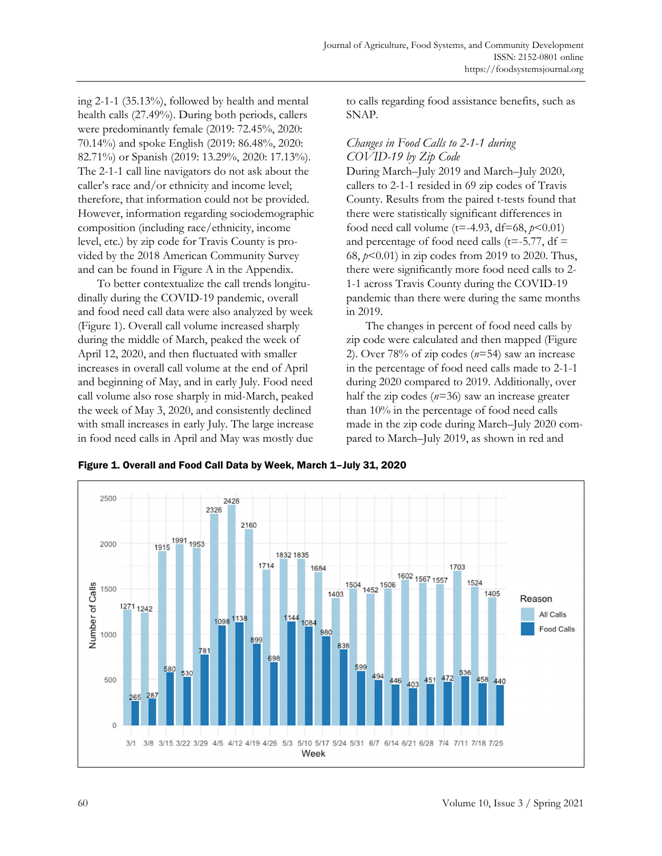ing 2-1-1 (35.13%), followed by health and mental health calls (27.49%). During both periods, callers were predominantly female (2019: 72.45%, 2020: 70.14%) and spoke English (2019: 86.48%, 2020: 82.71%) or Spanish (2019: 13.29%, 2020: 17.13%). The 2-1-1 call line navigators do not ask about the caller's race and/or ethnicity and income level; therefore, that information could not be provided. However, information regarding sociodemographic composition (including race/ethnicity, income level, etc.) by zip code for Travis County is provided by the 2018 American Community Survey and can be found in Figure A in the Appendix.

 To better contextualize the call trends longitudinally during the COVID-19 pandemic, overall and food need call data were also analyzed by week (Figure 1). Overall call volume increased sharply during the middle of March, peaked the week of April 12, 2020, and then fluctuated with smaller increases in overall call volume at the end of April and beginning of May, and in early July. Food need call volume also rose sharply in mid-March, peaked the week of May 3, 2020, and consistently declined with small increases in early July. The large increase in food need calls in April and May was mostly due

to calls regarding food assistance benefits, such as SNAP.

## *Changes in Food Calls to 2-1-1 during COVID-19 by Zip Code*

During March–July 2019 and March–July 2020, callers to 2-1-1 resided in 69 zip codes of Travis County. Results from the paired t-tests found that there were statistically significant differences in food need call volume ( $t = -4.93$ ,  $df = 68$ ,  $p < 0.01$ ) and percentage of food need calls ( $t = -5.77$ , df  $=$ 68, *p*<0.01) in zip codes from 2019 to 2020. Thus, there were significantly more food need calls to 2- 1-1 across Travis County during the COVID-19 pandemic than there were during the same months in 2019.

 The changes in percent of food need calls by zip code were calculated and then mapped (Figure 2). Over 78% of zip codes (*n*=54) saw an increase in the percentage of food need calls made to 2-1-1 during 2020 compared to 2019. Additionally, over half the zip codes (*n*=36) saw an increase greater than 10% in the percentage of food need calls made in the zip code during March–July 2020 compared to March–July 2019, as shown in red and

Figure 1. Overall and Food Call Data by Week, March 1–July 31, 2020

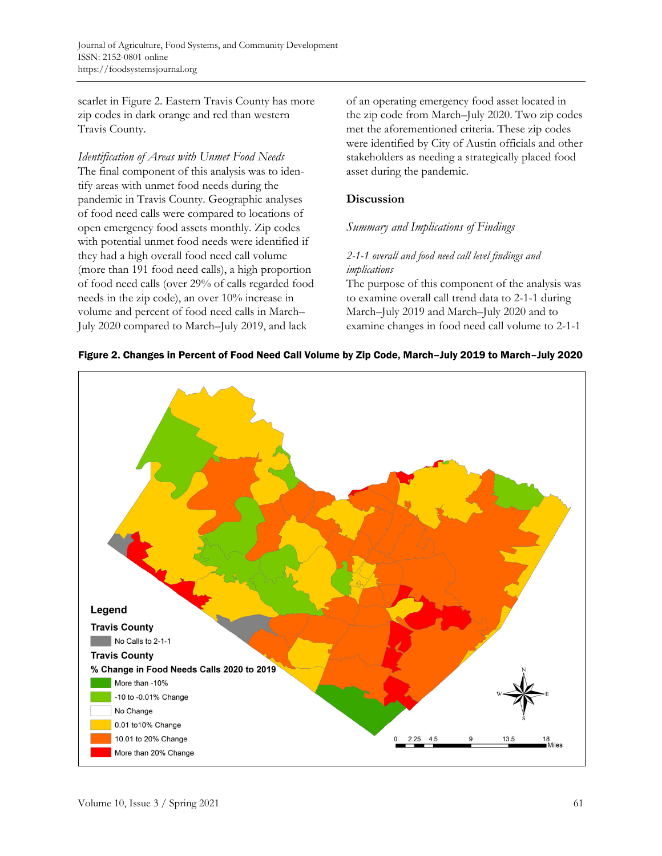scarlet in Figure 2. Eastern Travis County has more zip codes in dark orange and red than western Travis County.

## *Identification of Areas with Unmet Food Needs*

The final component of this analysis was to identify areas with unmet food needs during the pandemic in Travis County. Geographic analyses of food need calls were compared to locations of open emergency food assets monthly. Zip codes with potential unmet food needs were identified if they had a high overall food need call volume (more than 191 food need calls), a high proportion of food need calls (over 29% of calls regarded food needs in the zip code), an over 10% increase in volume and percent of food need calls in March– July 2020 compared to March–July 2019, and lack

of an operating emergency food asset located in the zip code from March–July 2020. Two zip codes met the aforementioned criteria. These zip codes were identified by City of Austin officials and other stakeholders as needing a strategically placed food asset during the pandemic.

## **Discussion**

## *Summary and Implications of Findings*

## *2-1-1 overall and food need call level findings and implications*

The purpose of this component of the analysis was to examine overall call trend data to 2-1-1 during March–July 2019 and March–July 2020 and to examine changes in food need call volume to 2-1-1



## Figure 2. Changes in Percent of Food Need Call Volume by Zip Code, March–July 2019 to March–July 2020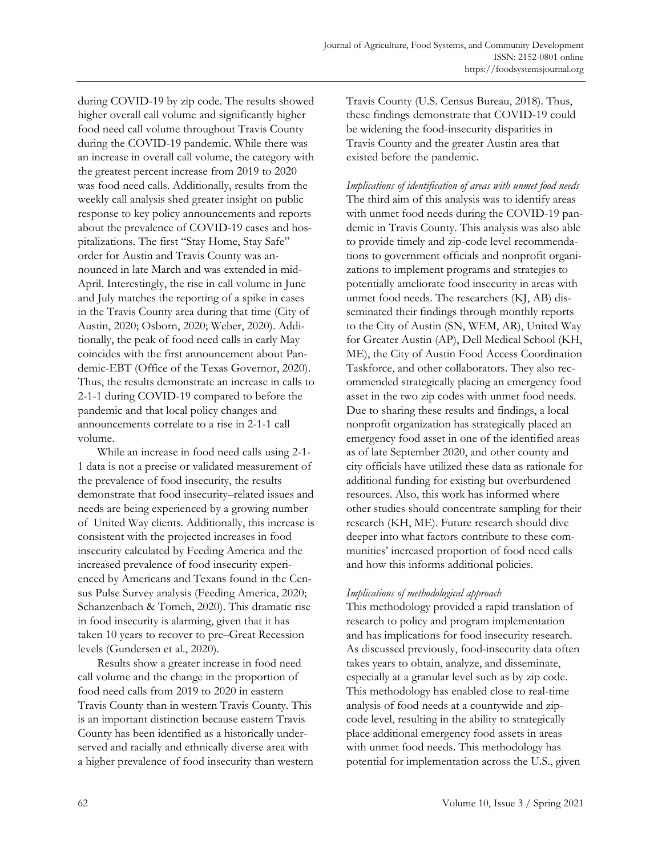during COVID-19 by zip code. The results showed higher overall call volume and significantly higher food need call volume throughout Travis County during the COVID-19 pandemic. While there was an increase in overall call volume, the category with the greatest percent increase from 2019 to 2020 was food need calls. Additionally, results from the weekly call analysis shed greater insight on public response to key policy announcements and reports about the prevalence of COVID-19 cases and hospitalizations. The first "Stay Home, Stay Safe" order for Austin and Travis County was announced in late March and was extended in mid-April. Interestingly, the rise in call volume in June and July matches the reporting of a spike in cases in the Travis County area during that time (City of Austin, 2020; Osborn, 2020; Weber, 2020). Additionally, the peak of food need calls in early May coincides with the first announcement about Pandemic-EBT (Office of the Texas Governor, 2020). Thus, the results demonstrate an increase in calls to 2-1-1 during COVID-19 compared to before the pandemic and that local policy changes and announcements correlate to a rise in 2-1-1 call volume.

 While an increase in food need calls using 2-1- 1 data is not a precise or validated measurement of the prevalence of food insecurity, the results demonstrate that food insecurity–related issues and needs are being experienced by a growing number of United Way clients. Additionally, this increase is consistent with the projected increases in food insecurity calculated by Feeding America and the increased prevalence of food insecurity experienced by Americans and Texans found in the Census Pulse Survey analysis (Feeding America, 2020; Schanzenbach & Tomeh, 2020). This dramatic rise in food insecurity is alarming, given that it has taken 10 years to recover to pre–Great Recession levels (Gundersen et al., 2020).

 Results show a greater increase in food need call volume and the change in the proportion of food need calls from 2019 to 2020 in eastern Travis County than in western Travis County. This is an important distinction because eastern Travis County has been identified as a historically underserved and racially and ethnically diverse area with a higher prevalence of food insecurity than western Travis County (U.S. Census Bureau, 2018). Thus, these findings demonstrate that COVID-19 could be widening the food-insecurity disparities in Travis County and the greater Austin area that existed before the pandemic.

*Implications of identification of areas with unmet food needs*  The third aim of this analysis was to identify areas with unmet food needs during the COVID-19 pandemic in Travis County. This analysis was also able to provide timely and zip-code level recommendations to government officials and nonprofit organizations to implement programs and strategies to potentially ameliorate food insecurity in areas with unmet food needs. The researchers (KJ, AB) disseminated their findings through monthly reports to the City of Austin (SN, WEM, AR), United Way for Greater Austin (AP), Dell Medical School (KH, ME), the City of Austin Food Access Coordination Taskforce, and other collaborators. They also recommended strategically placing an emergency food asset in the two zip codes with unmet food needs. Due to sharing these results and findings, a local nonprofit organization has strategically placed an emergency food asset in one of the identified areas as of late September 2020, and other county and city officials have utilized these data as rationale for additional funding for existing but overburdened resources. Also, this work has informed where other studies should concentrate sampling for their research (KH, ME). Future research should dive deeper into what factors contribute to these communities' increased proportion of food need calls and how this informs additional policies.

### *Implications of methodological approach*

This methodology provided a rapid translation of research to policy and program implementation and has implications for food insecurity research. As discussed previously, food-insecurity data often takes years to obtain, analyze, and disseminate, especially at a granular level such as by zip code. This methodology has enabled close to real-time analysis of food needs at a countywide and zipcode level, resulting in the ability to strategically place additional emergency food assets in areas with unmet food needs. This methodology has potential for implementation across the U.S., given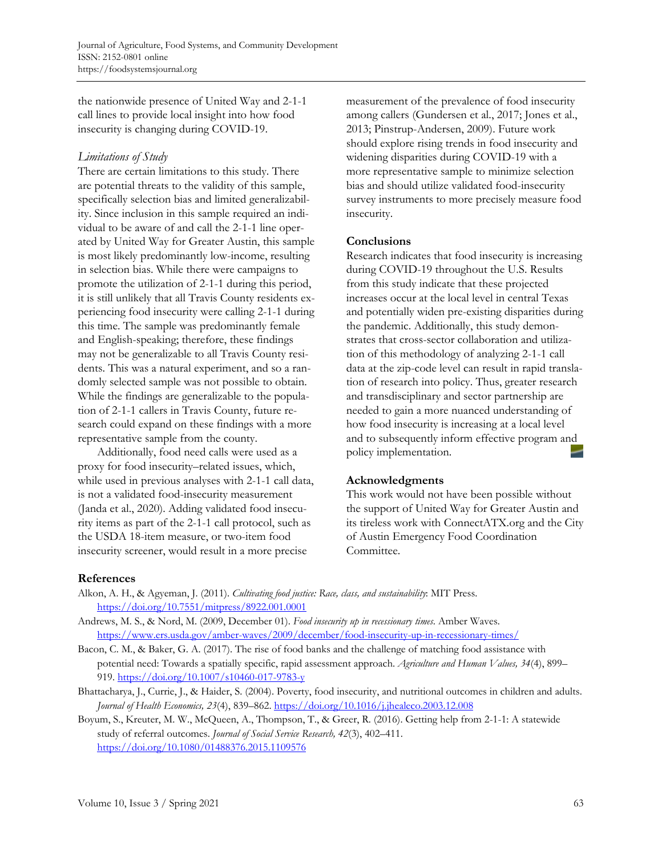the nationwide presence of United Way and 2-1-1 call lines to provide local insight into how food insecurity is changing during COVID-19.

## *Limitations of Study*

There are certain limitations to this study. There are potential threats to the validity of this sample, specifically selection bias and limited generalizability. Since inclusion in this sample required an individual to be aware of and call the 2-1-1 line operated by United Way for Greater Austin, this sample is most likely predominantly low-income, resulting in selection bias. While there were campaigns to promote the utilization of 2-1-1 during this period, it is still unlikely that all Travis County residents experiencing food insecurity were calling 2-1-1 during this time. The sample was predominantly female and English-speaking; therefore, these findings may not be generalizable to all Travis County residents. This was a natural experiment, and so a randomly selected sample was not possible to obtain. While the findings are generalizable to the population of 2-1-1 callers in Travis County, future research could expand on these findings with a more representative sample from the county.

 Additionally, food need calls were used as a proxy for food insecurity–related issues, which, while used in previous analyses with 2-1-1 call data, is not a validated food-insecurity measurement (Janda et al., 2020). Adding validated food insecurity items as part of the 2-1-1 call protocol, such as the USDA 18-item measure, or two-item food insecurity screener, would result in a more precise

measurement of the prevalence of food insecurity among callers (Gundersen et al., 2017; Jones et al., 2013; Pinstrup-Andersen, 2009). Future work should explore rising trends in food insecurity and widening disparities during COVID-19 with a more representative sample to minimize selection bias and should utilize validated food-insecurity survey instruments to more precisely measure food insecurity.

## **Conclusions**

Research indicates that food insecurity is increasing during COVID-19 throughout the U.S. Results from this study indicate that these projected increases occur at the local level in central Texas and potentially widen pre-existing disparities during the pandemic. Additionally, this study demonstrates that cross-sector collaboration and utilization of this methodology of analyzing 2-1-1 call data at the zip-code level can result in rapid translation of research into policy. Thus, greater research and transdisciplinary and sector partnership are needed to gain a more nuanced understanding of how food insecurity is increasing at a local level and to subsequently inform effective program and policy implementation.

## **Acknowledgments**

This work would not have been possible without the support of United Way for Greater Austin and its tireless work with ConnectATX.org and the City of Austin Emergency Food Coordination Committee.

## **References**

- Alkon, A. H., & Agyeman, J. (2011). *Cultivating food justice: Race, class, and sustainability*: MIT Press. https://doi.org/10.7551/mitpress/8922.001.0001
- Andrews, M. S., & Nord, M. (2009, December 01). *Food insecurity up in recessionary times*. Amber Waves. https://www.ers.usda.gov/amber-waves/2009/december/food-insecurity-up-in-recessionary-times/
- Bacon, C. M., & Baker, G. A. (2017). The rise of food banks and the challenge of matching food assistance with potential need: Towards a spatially specific, rapid assessment approach. *Agriculture and Human Values, 34*(4), 899– 919. https://doi.org/10.1007/s10460-017-9783-y
- Bhattacharya, J., Currie, J., & Haider, S. (2004). Poverty, food insecurity, and nutritional outcomes in children and adults. *Journal of Health Economics, 23*(4), 839–862. https://doi.org/10.1016/j.jhealeco.2003.12.008
- Boyum, S., Kreuter, M. W., McQueen, A., Thompson, T., & Greer, R. (2016). Getting help from 2-1-1: A statewide study of referral outcomes. *Journal of Social Service Research, 42*(3), 402–411. https://doi.org/10.1080/01488376.2015.1109576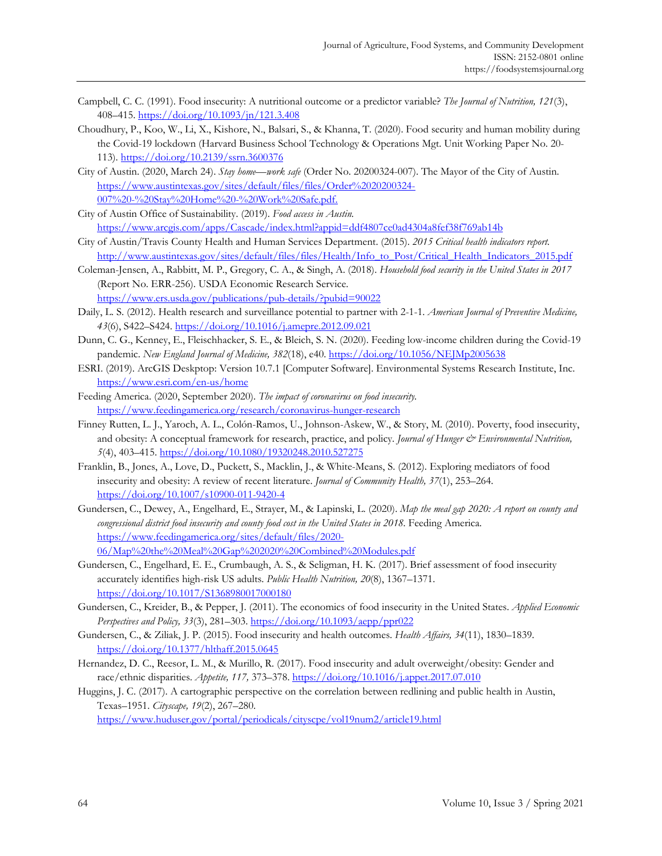- Campbell, C. C. (1991). Food insecurity: A nutritional outcome or a predictor variable? *The Journal of Nutrition, 121*(3), 408–415.<https://doi.org/10.1093/jn/121.3.408>
- Choudhury, P., Koo, W., Li, X., Kishore, N., Balsari, S., & Khanna, T. (2020). Food security and human mobility during the Covid-19 lockdown (Harvard Business School Technology & Operations Mgt. Unit Working Paper No. 20- 113)[. https://doi.org/10.2139/ssrn.3600376](https://doi.org/10.2139/ssrn.3600376)
- City of Austin. (2020, March 24). *Stay home—work safe* (Order No. 20200324-007). The Mayor of the City of Austin. [https://www.austintexas.gov/sites/default/files/files/Order%2020200324-](https://www.austintexas.gov/sites/default/files/files/Order%2020200324-007%20-%20Stay%20Home%20-%20Work%20Safe.pdf) [007%20-%20Stay%20Home%20-%20Work%20Safe.pdf.](https://www.austintexas.gov/sites/default/files/files/Order%2020200324-007%20-%20Stay%20Home%20-%20Work%20Safe.pdf)
- City of Austin Office of Sustainability. (2019). *Food access in Austin.* <https://www.arcgis.com/apps/Cascade/index.html?appid=ddf4807ce0ad4304a8fef38f769ab14b>
- City of Austin/Travis County Health and Human Services Department. (2015). *2015 Critical health indicators report*. [http://www.austintexas.gov/sites/default/files/files/Health/Info\\_to\\_Post/Critical\\_Health\\_Indicators\\_2015.pdf](http://www.austintexas.gov/sites/default/files/files/Health/Info_to_Post/Critical_Health_Indicators_2015.pdf)
- Coleman-Jensen, A., Rabbitt, M. P., Gregory, C. A., & Singh, A. (2018). *Household food security in the United States in 2017* (Report No. ERR-256). USDA Economic Research Service. <https://www.ers.usda.gov/publications/pub-details/?pubid=90022>
- Daily, L. S. (2012). Health research and surveillance potential to partner with 2-1-1. *American Journal of Preventive Medicine, 43*(6), S422–S424.<https://doi.org/10.1016/j.amepre.2012.09.021>
- Dunn, C. G., Kenney, E., Fleischhacker, S. E., & Bleich, S. N. (2020). Feeding low-income children during the Covid-19 pandemic. New England Journal of Medicine, 382(18), e40.<https://doi.org/10.1056/NEJMp2005638>
- ESRI. (2019). ArcGIS Deskptop: Version 10.7.1 [Computer Software]. Environmental Systems Research Institute, Inc. <https://www.esri.com/en-us/home>
- Feeding America. (2020, September 2020). *The impact of coronavirus on food insecurity*. <https://www.feedingamerica.org/research/coronavirus-hunger-research>
- Finney Rutten, L. J., Yaroch, A. L., Colón-Ramos, U., Johnson-Askew, W., & Story, M. (2010). Poverty, food insecurity, and obesity: A conceptual framework for research, practice, and policy. *Journal of Hunger & Environmental Nutrition*, *5*(4), 403–415[. https://doi.org/10.1080/19320248.2010.527275](https://doi.org/10.1080/19320248.2010.527275)
- Franklin, B., Jones, A., Love, D., Puckett, S., Macklin, J., & White-Means, S. (2012). Exploring mediators of food insecurity and obesity: A review of recent literature. *Journal of Community Health, 37*(1), 253–264. <https://doi.org/10.1007/s10900-011-9420-4>
- Gundersen, C., Dewey, A., Engelhard, E., Strayer, M., & Lapinski, L. (2020). *Map the meal gap 2020: A report on county and congressional district food insecurity and county food cost in the United States in 2018.* Feeding America. [https://www.feedingamerica.org/sites/default/files/2020-](https://www.feedingamerica.org/sites/default/files/2020-06/Map%20the%20Meal%20Gap%202020%20Combined%20Modules.pdf) [06/Map%20the%20Meal%20Gap%202020%20Combined%20Modules.pdf](https://www.feedingamerica.org/sites/default/files/2020-06/Map%20the%20Meal%20Gap%202020%20Combined%20Modules.pdf)
- Gundersen, C., Engelhard, E. E., Crumbaugh, A. S., & Seligman, H. K. (2017). Brief assessment of food insecurity accurately identifies high-risk US adults. *Public Health Nutrition, 20*(8), 1367–1371. <https://doi.org/10.1017/S1368980017000180>
- Gundersen, C., Kreider, B., & Pepper, J. (2011). The economics of food insecurity in the United States. *Applied Economic Perspectives and Policy, 33*(3), 281–303.<https://doi.org/10.1093/aepp/ppr022>
- Gundersen, C., & Ziliak, J. P. (2015). Food insecurity and health outcomes. *Health Affairs, 34*(11), 1830–1839. <https://doi.org/10.1377/hlthaff.2015.0645>
- Hernandez, D. C., Reesor, L. M., & Murillo, R. (2017). Food insecurity and adult overweight/obesity: Gender and race/ethnic disparities. *Appetite, 117,* 373–378[. https://doi.org/10.1016/j.appet.2017.07.010](https://doi.org/10.1016/j.appet.2017.07.010)
- Huggins, J. C. (2017). A cartographic perspective on the correlation between redlining and public health in Austin, Texas–1951. *Cityscape, 19*(2), 267–280.

<https://www.huduser.gov/portal/periodicals/cityscpe/vol19num2/article19.html>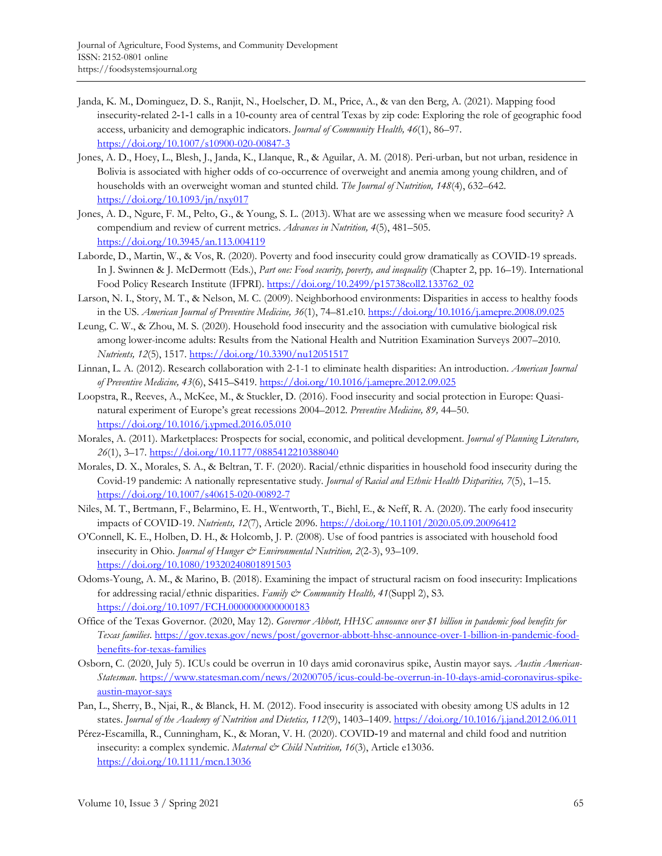- Janda, K. M., Dominguez, D. S., Ranjit, N., Hoelscher, D. M., Price, A., & van den Berg, A. (2021). Mapping food insecurity‑related 2‑1‑1 calls in a 10‑county area of central Texas by zip code: Exploring the role of geographic food access, urbanicity and demographic indicators. *Journal of Community Health, 46*(1), 86–97. <https://doi.org/10.1007/s10900-020-00847-3>
- Jones, A. D., Hoey, L., Blesh, J., Janda, K., Llanque, R., & Aguilar, A. M. (2018). Peri-urban, but not urban, residence in Bolivia is associated with higher odds of co-occurrence of overweight and anemia among young children, and of households with an overweight woman and stunted child. *The Journal of Nutrition, 148*(4), 632–642. <https://doi.org/10.1093/jn/nxy017>
- Jones, A. D., Ngure, F. M., Pelto, G., & Young, S. L. (2013). What are we assessing when we measure food security? A compendium and review of current metrics. *Advances in Nutrition, 4*(5), 481–505. <https://doi.org/10.3945/an.113.004119>
- Laborde, D., Martin, W., & Vos, R. (2020). Poverty and food insecurity could grow dramatically as COVID-19 spreads. In J. Swinnen & J. McDermott (Eds.), *Part one: Food security, poverty, and inequality* (Chapter 2, pp. 16–19). International Food Policy Research Institute (IFPRI). [https://doi.org/10.2499/p15738coll2.133762\\_02](https://doi.org/10.2499/p15738coll2.133762_02)
- Larson, N. I., Story, M. T., & Nelson, M. C. (2009). Neighborhood environments: Disparities in access to healthy foods in the US. *American Journal of Preventive Medicine, 36*(1), 74–81.e10[. https://doi.org/10.1016/j.amepre.2008.09.025](https://doi.org/10.1016/j.amepre.2008.09.025)
- Leung, C. W., & Zhou, M. S. (2020). Household food insecurity and the association with cumulative biological risk among lower-income adults: Results from the National Health and Nutrition Examination Surveys 2007–2010. *Nutrients, 12*(5), 1517.<https://doi.org/10.3390/nu12051517>
- Linnan, L. A. (2012). Research collaboration with 2-1-1 to eliminate health disparities: An introduction. *American Journal of Preventive Medicine, 43*(6), S415–S419.<https://doi.org/10.1016/j.amepre.2012.09.025>
- Loopstra, R., Reeves, A., McKee, M., & Stuckler, D. (2016). Food insecurity and social protection in Europe: Quasinatural experiment of Europe's great recessions 2004–2012. *Preventive Medicine, 89,* 44–50. <https://doi.org/10.1016/j.ypmed.2016.05.010>
- Morales, A. (2011). Marketplaces: Prospects for social, economic, and political development. *Journal of Planning Literature, 26*(1), 3–17.<https://doi.org/10.1177/0885412210388040>
- Morales, D. X., Morales, S. A., & Beltran, T. F. (2020). Racial/ethnic disparities in household food insecurity during the Covid-19 pandemic: A nationally representative study. *Journal of Racial and Ethnic Health Disparities, 7*(5), 1–15. <https://doi.org/10.1007/s40615-020-00892-7>
- Niles, M. T., Bertmann, F., Belarmino, E. H., Wentworth, T., Biehl, E., & Neff, R. A. (2020). The early food insecurity impacts of COVID-19. *Nutrients, 12*(7), Article 2096.<https://doi.org/10.1101/2020.05.09.20096412>
- O'Connell, K. E., Holben, D. H., & Holcomb, J. P. (2008). Use of food pantries is associated with household food insecurity in Ohio. *Journal of Hunger & Environmental Nutrition*, 2(2-3), 93–109. <https://doi.org/10.1080/19320240801891503>
- Odoms-Young, A. M., & Marino, B. (2018). Examining the impact of structural racism on food insecurity: Implications for addressing racial/ethnic disparities. *Family & Community Health, 41*(Suppl 2), S3. <https://doi.org/10.1097/FCH.0000000000000183>
- Office of the Texas Governor. (2020, May 12). *Governor Abbott, HHSC announce over \$1 billion in pandemic food benefits for Texas families*. [https://gov.texas.gov/news/post/governor-abbott-hhsc-announce-over-1-billion-in-pandemic-food](https://gov.texas.gov/news/post/governor-abbott-hhsc-announce-over-1-billion-in-pandemic-food-benefits-for-texas-families)[benefits-for-texas-families](https://gov.texas.gov/news/post/governor-abbott-hhsc-announce-over-1-billion-in-pandemic-food-benefits-for-texas-families)
- Osborn, C. (2020, July 5). ICUs could be overrun in 10 days amid coronavirus spike, Austin mayor says*. Austin American-Statesman*. [https://www.statesman.com/news/20200705/icus-could-be-overrun-in-10-days-amid-coronavirus-spike](https://www.statesman.com/news/20200705/icus-could-be-overrun-in-10-days-amid-coronavirus-spike-austin-mayor-says)[austin-mayor-says](https://www.statesman.com/news/20200705/icus-could-be-overrun-in-10-days-amid-coronavirus-spike-austin-mayor-says)
- Pan, L., Sherry, B., Njai, R., & Blanck, H. M. (2012). Food insecurity is associated with obesity among US adults in 12 states. *Journal of the Academy of Nutrition and Dietetics, 112*(9), 1403–1409[. https://doi.org/10.1016/j.jand.2012.06.011](https://doi.org/10.1016/j.jand.2012.06.011)
- Pérez‐Escamilla, R., Cunningham, K., & Moran, V. H. (2020). COVID‐19 and maternal and child food and nutrition insecurity: a complex syndemic. *Maternal & Child Nutrition*, 16(3), Article e13036. <https://doi.org/10.1111/mcn.13036>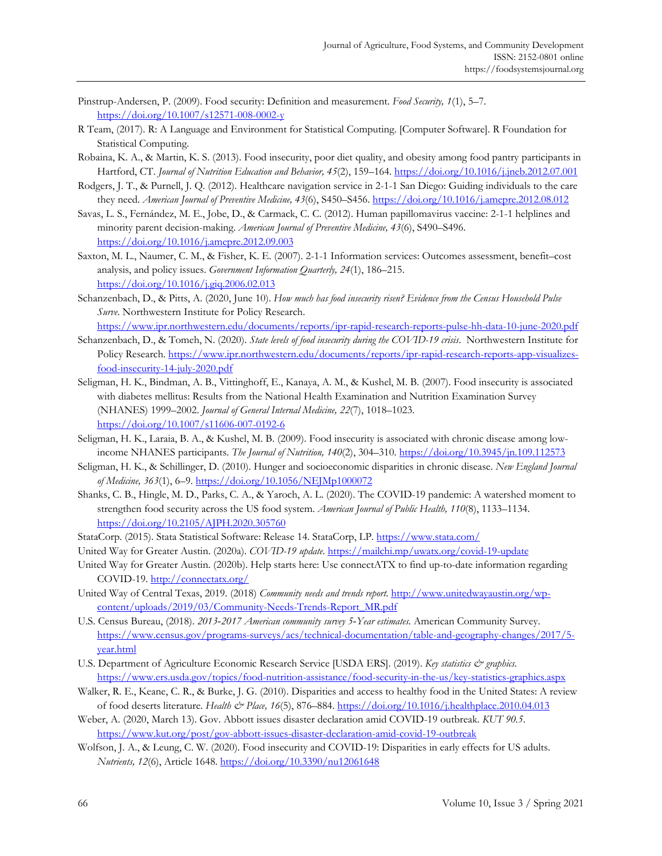- Pinstrup-Andersen, P. (2009). Food security: Definition and measurement. *Food Security, 1*(1), 5–7. <https://doi.org/10.1007/s12571-008-0002-y>
- R Team, (2017). R: A Language and Environment for Statistical Computing. [Computer Software]. R Foundation for Statistical Computing.
- Robaina, K. A., & Martin, K. S. (2013). Food insecurity, poor diet quality, and obesity among food pantry participants in Hartford, CT. *Journal of Nutrition Education and Behavior, 45*(2), 159–164.<https://doi.org/10.1016/j.jneb.2012.07.001>
- Rodgers, J. T., & Purnell, J. Q. (2012). Healthcare navigation service in 2-1-1 San Diego: Guiding individuals to the care they need. *American Journal of Preventive Medicine, 43*(6), S450–S456.<https://doi.org/10.1016/j.amepre.2012.08.012>
- Savas, L. S., Fernández, M. E., Jobe, D., & Carmack, C. C. (2012). Human papillomavirus vaccine: 2-1-1 helplines and minority parent decision-making. *American Journal of Preventive Medicine, 43*(6), S490–S496. <https://doi.org/10.1016/j.amepre.2012.09.003>
- Saxton, M. L., Naumer, C. M., & Fisher, K. E. (2007). 2-1-1 Information services: Outcomes assessment, benefit–cost analysis, and policy issues. *Government Information Quarterly, 24*(1), 186–215. <https://doi.org/10.1016/j.giq.2006.02.013>
- Schanzenbach, D., & Pitts, A. (2020, June 10). *How much has food insecurity risen? Evidence from the Census Household Pulse Surve*. Northwestern Institute for Policy Research. <https://www.ipr.northwestern.edu/documents/reports/ipr-rapid-research-reports-pulse-hh-data-10-june-2020.pdf>
- Schanzenbach, D., & Tomeh, N. (2020). *State levels of food insecurity during the COVID-19 crisis*. Northwestern Institute for Policy Research[. https://www.ipr.northwestern.edu/documents/reports/ipr-rapid-research-reports-app-visualizes](https://www.ipr.northwestern.edu/documents/reports/ipr-rapid-research-reports-app-visualizes-food-insecurity-14-july-2020.pdf)[food-insecurity-14-july-2020.pdf](https://www.ipr.northwestern.edu/documents/reports/ipr-rapid-research-reports-app-visualizes-food-insecurity-14-july-2020.pdf)
- Seligman, H. K., Bindman, A. B., Vittinghoff, E., Kanaya, A. M., & Kushel, M. B. (2007). Food insecurity is associated with diabetes mellitus: Results from the National Health Examination and Nutrition Examination Survey (NHANES) 1999–2002. *Journal of General Internal Medicine, 22*(7), 1018–1023. <https://doi.org/10.1007/s11606-007-0192-6>
- Seligman, H. K., Laraia, B. A., & Kushel, M. B. (2009). Food insecurity is associated with chronic disease among lowincome NHANES participants. *The Journal of Nutrition, 140*(2), 304–310.<https://doi.org/10.3945/jn.109.112573>
- Seligman, H. K., & Schillinger, D. (2010). Hunger and socioeconomic disparities in chronic disease. *New England Journal of Medicine, 363*(1), 6–9.<https://doi.org/10.1056/NEJMp1000072>
- Shanks, C. B., Hingle, M. D., Parks, C. A., & Yaroch, A. L. (2020). The COVID-19 pandemic: A watershed moment to strengthen food security across the US food system. *American Journal of Public Health, 110*(8), 1133–1134. <https://doi.org/10.2105/AJPH.2020.305760>
- StataCorp. (2015). Stata Statistical Software: Release 14. StataCorp, LP.<https://www.stata.com/>
- United Way for Greater Austin. (2020a). *COVID-19 update*.<https://mailchi.mp/uwatx.org/covid-19-update>
- United Way for Greater Austin. (2020b). Help starts here: Use connectATX to find up-to-date information regarding COVID-19.<http://connectatx.org/>
- United Way of Central Texas, 2019. (2018) *Community needs and trends report.* [http://www.unitedwayaustin.org/wp](http://www.unitedwayaustin.org/wp-content/uploads/2019/03/Community-Needs-Trends-Report_MR.pdf)[content/uploads/2019/03/Community-Needs-Trends-Report\\_MR.pdf](http://www.unitedwayaustin.org/wp-content/uploads/2019/03/Community-Needs-Trends-Report_MR.pdf)
- U.S. Census Bureau, (2018). *2013‐2017 American community survey 5‐Year estimates.* American Community Survey. [https://www.census.gov/programs-surveys/acs/technical-documentation/table-and-geography-changes/2017/5](https://www.census.gov/programs-surveys/acs/technical-documentation/table-and-geography-changes/2017/5-year.html) [year.html](https://www.census.gov/programs-surveys/acs/technical-documentation/table-and-geography-changes/2017/5-year.html)
- U.S. Department of Agriculture Economic Research Service [USDA ERS]. (2019). *Key statistics & graphics*. <https://www.ers.usda.gov/topics/food-nutrition-assistance/food-security-in-the-us/key-statistics-graphics.aspx>
- Walker, R. E., Keane, C. R., & Burke, J. G. (2010). Disparities and access to healthy food in the United States: A review of food deserts literature. *Health & Place, 16*(5), 876–884.<https://doi.org/10.1016/j.healthplace.2010.04.013>
- Weber, A. (2020, March 13). Gov. Abbott issues disaster declaration amid COVID-19 outbreak. *KUT 90.5*. <https://www.kut.org/post/gov-abbott-issues-disaster-declaration-amid-covid-19-outbreak>
- Wolfson, J. A., & Leung, C. W. (2020). Food insecurity and COVID-19: Disparities in early effects for US adults. *Nutrients, 12*(6), Article 1648[. https://doi.org/10.3390/nu12061648](https://doi.org/10.3390/nu12061648)